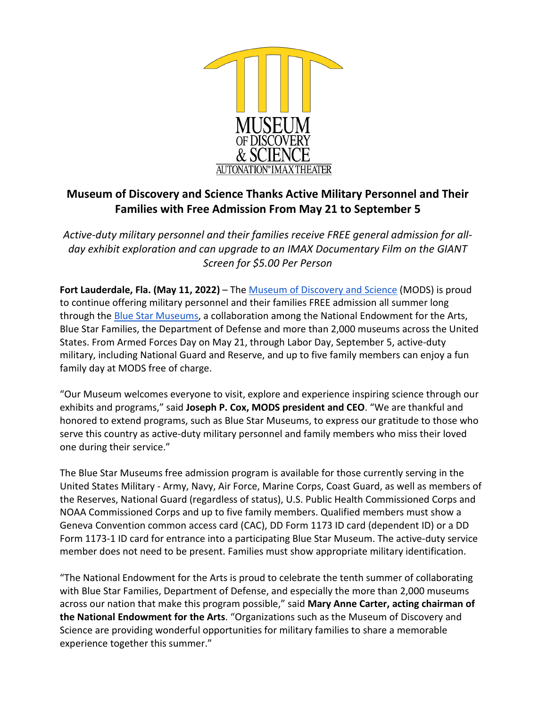

# **Museum of Discovery and Science Thanks Active Military Personnel and Their Families with Free Admission From May 21 to September 5**

*Active-duty military personnel and their families receive FREE general admission for allday exhibit exploration and can upgrade to an IMAX Documentary Film on the GIANT Screen for \$5.00 Per Person*

Fort Lauderdale, Fla. (May 11, 2022) – The [Museum of Discovery and Science](http://www.mods.org/) (MODS) is proud to continue offering military personnel and their families FREE admission all summer long through the [Blue Star Museums,](https://www.arts.gov/initiatives/blue-star-museums) a collaboration among the National Endowment for the Arts, Blue Star Families, the Department of Defense and more than 2,000 museums across the United States. From Armed Forces Day on May 21, through Labor Day, September 5, active-duty military, including National Guard and Reserve, and up to five family members can enjoy a fun family day at MODS free of charge.

"Our Museum welcomes everyone to visit, explore and experience inspiring science through our exhibits and programs," said **Joseph P. Cox, MODS president and CEO**. "We are thankful and honored to extend programs, such as Blue Star Museums, to express our gratitude to those who serve this country as active-duty military personnel and family members who miss their loved one during their service."

The Blue Star Museums free admission program is available for those currently serving in the United States Military - Army, Navy, Air Force, Marine Corps, Coast Guard, as well as members of the Reserves, National Guard (regardless of status), U.S. Public Health Commissioned Corps and NOAA Commissioned Corps and up to five family members. Qualified members must show a Geneva Convention common access card (CAC), DD Form 1173 ID card (dependent ID) or a DD Form 1173-1 ID card for entrance into a participating Blue Star Museum. The active-duty service member does not need to be present. Families must show appropriate military identification.

"The National Endowment for the Arts is proud to celebrate the tenth summer of collaborating with Blue Star Families, Department of Defense, and especially the more than 2,000 museums across our nation that make this program possible," said **Mary Anne Carter, acting chairman of the National Endowment for the Arts**. "Organizations such as the Museum of Discovery and Science are providing wonderful opportunities for military families to share a memorable experience together this summer."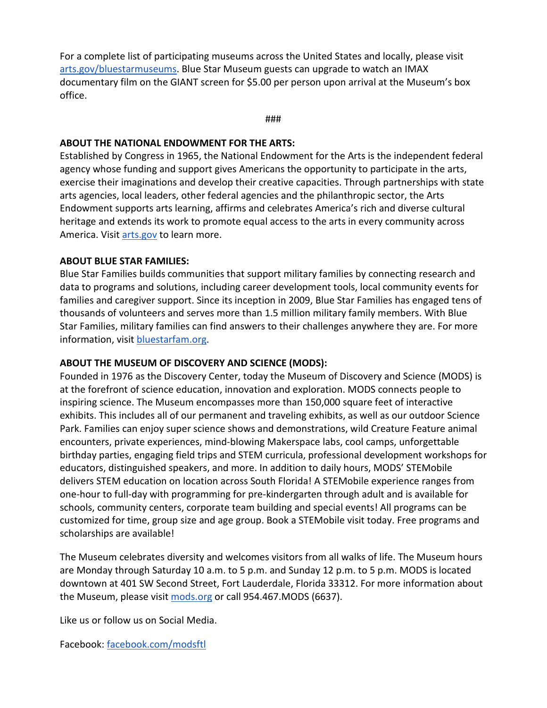For a complete list of participating museums across the United States and locally, please visit [arts.gov/bluestarmuseums.](http://www.arts.gov/bluestarmuseums) Blue Star Museum guests can upgrade to watch an IMAX documentary film on the GIANT screen for \$5.00 per person upon arrival at the Museum's box office.

###

### **ABOUT THE NATIONAL ENDOWMENT FOR THE ARTS:**

Established by Congress in 1965, the National Endowment for the Arts is the independent federal agency whose funding and support gives Americans the opportunity to participate in the arts, exercise their imaginations and develop their creative capacities. Through partnerships with state arts agencies, local leaders, other federal agencies and the philanthropic sector, the Arts Endowment supports arts learning, affirms and celebrates America's rich and diverse cultural heritage and extends its work to promote equal access to the arts in every community across America. Visi[t arts.gov](https://www.arts.gov/) to learn more.

### **ABOUT BLUE STAR FAMILIES:**

Blue Star Families builds communities that support military families by connecting research and data to programs and solutions, including career development tools, local community events for families and caregiver support. Since its inception in 2009, Blue Star Families has engaged tens of thousands of volunteers and serves more than 1.5 million military family members. With Blue Star Families, military families can find answers to their challenges anywhere they are. For more information, visit [bluestarfam.org.](https://bluestarfam.org/)

### **ABOUT THE MUSEUM OF DISCOVERY AND SCIENCE (MODS):**

Founded in 1976 as the Discovery Center, today the Museum of Discovery and Science (MODS) is at the forefront of science education, innovation and exploration. MODS connects people to inspiring science. The Museum encompasses more than 150,000 square feet of interactive exhibits. This includes all of our permanent and traveling exhibits, as well as our outdoor Science Park. Families can enjoy super science shows and demonstrations, wild Creature Feature animal encounters, private experiences, mind-blowing Makerspace labs, cool camps, unforgettable birthday parties, engaging field trips and STEM curricula, professional development workshops for educators, distinguished speakers, and more. In addition to daily hours, MODS' STEMobile delivers STEM education on location across South Florida! A STEMobile experience ranges from one-hour to full-day with programming for pre-kindergarten through adult and is available for schools, community centers, corporate team building and special events! All programs can be customized for time, group size and age group. Book a STEMobile visit today. Free programs and scholarships are available!

The Museum celebrates diversity and welcomes visitors from all walks of life. The Museum hours are Monday through Saturday 10 a.m. to 5 p.m. and Sunday 12 p.m. to 5 p.m. MODS is located downtown at 401 SW Second Street, Fort Lauderdale, Florida 33312. For more information about the Museum, please visit [mods.org](http://www.mods.org/) or call 954.467.MODS (6637).

Like us or follow us on Social Media.

Facebook: [facebook.com/modsftl](http://www.facebook.com/modsftl)